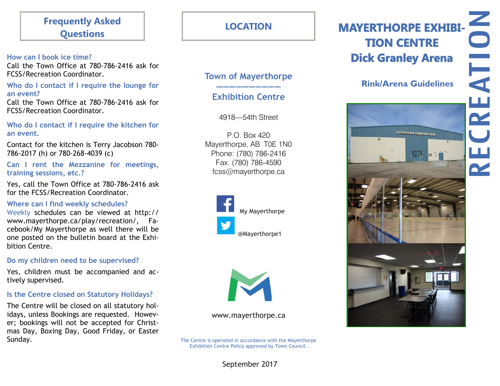# **Frequently Asked Questions**

#### **How can I book ice time?**

Call the Town Office at 780-786-2416 ask for FCSS/Recreation Coordinator.

#### **Who do I contact if I require the lounge for an event?**

Call the Town Office at 780-786-2416 ask for FCSS/Recreation Coordinator.

#### **Who do I contact if I require the kitchen for an event.**

Contact for the kitchen is Terry Jacobson 780- 786-2017 (h) or 780-268-4039 (c)

**Can I rent the Mezzanine for meetings, training sessions, etc.?**

Yes, call the Town Office at 780-786-2416 ask for the FCSS/Recreation Coordinator.

## **Where can I find weekly schedules?**

Weekly schedules can be viewed at http:// www.mayerthorpe.ca/play/recreation/, Facebook/My Mayerthorpe as well there will be one posted on the bulletin board at the Exhibition Centre.

## **Do my children need to be supervised?**

Yes, children must be accompanied and actively supervised.

# **Is the Centre closed on Statutory Holidays?**

The Centre will be closed on all statutory holidays, unless Bookings are requested. However; bookings will not be accepted for Christmas Day, Boxing Day, Good Friday, or Easter Sunday.

**LOCATION**

# **Town of Mayerthorpe**

# **—————————— Exhibition Centre**

4918—54th Street

P.O. Box 420 Mayerthorpe, AB T0E 1N0 Phone: (780) 786-2416 Fax: (780) 786-4590 fcss@mayerthorpe.ca





www.mayerthorpe.ca

The Centre is operated in accordance with the Mayerthorpe Exhibition Centre Policy approved by Town Council.

# **Rink/Arena Guidelines**



# ATION  $\frac{1}{\alpha}$